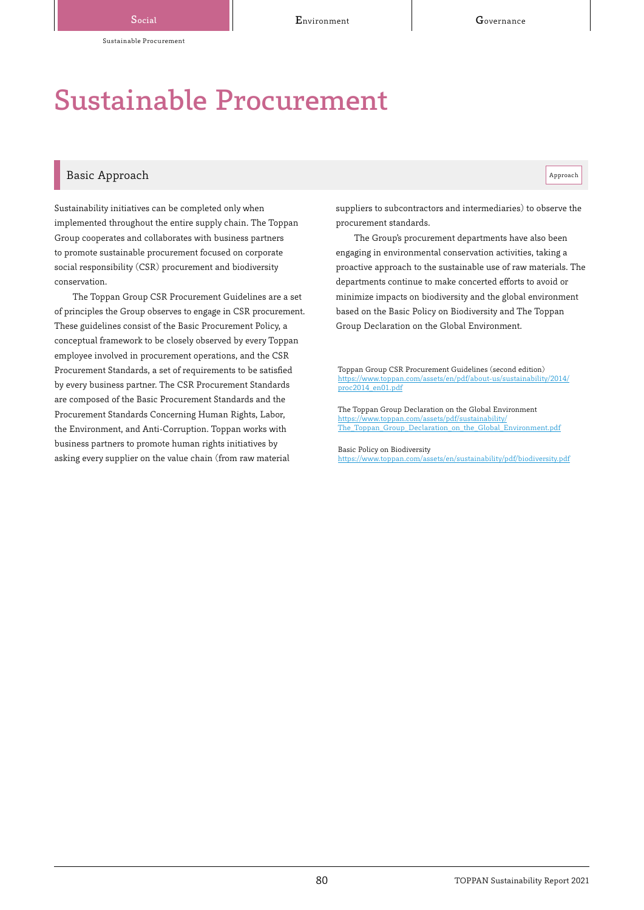# Sustainable Procurement

# Basic Approach and the contract of the contract of the contract of the contract of the contract of the contract of the contract of the contract of the contract of the contract of the contract of the contract of the contrac

Sustainability initiatives can be completed only when implemented throughout the entire supply chain. The Toppan Group cooperates and collaborates with business partners to promote sustainable procurement focused on corporate social responsibility (CSR) procurement and biodiversity conservation.

The Toppan Group CSR Procurement Guidelines are a set of principles the Group observes to engage in CSR procurement. These guidelines consist of the Basic Procurement Policy, a conceptual framework to be closely observed by every Toppan employee involved in procurement operations, and the CSR Procurement Standards, a set of requirements to be satisfied by every business partner. The CSR Procurement Standards are composed of the Basic Procurement Standards and the Procurement Standards Concerning Human Rights, Labor, the Environment, and Anti-Corruption. Toppan works with business partners to promote human rights initiatives by asking every supplier on the value chain (from raw material

suppliers to subcontractors and intermediaries) to observe the procurement standards.

The Group's procurement departments have also been engaging in environmental conservation activities, taking a proactive approach to the sustainable use of raw materials. The departments continue to make concerted efforts to avoid or minimize impacts on biodiversity and the global environment based on the Basic Policy on Biodiversity and The Toppan Group Declaration on the Global Environment.

Toppan Group CSR Procurement Guidelines (second edition) om/assets/en/pdf/about-us/sustainability/2014/ proc2014\_en01.pdf

The Toppan Group Declaration on the Global Environment https://www.toppan.com/assets/pdf/sustainability/ [The\\_Toppan\\_Group\\_Declaration\\_on\\_the\\_Global\\_Environment.pdf](https://www.toppan.com/assets/pdf/sustainability/The_Toppan_Group_Declaration_on_the_Global_Environment.pdf)

Basic Policy on Biodiversity

<https://www.toppan.com/assets/en/sustainability/pdf/biodiversity.pdf>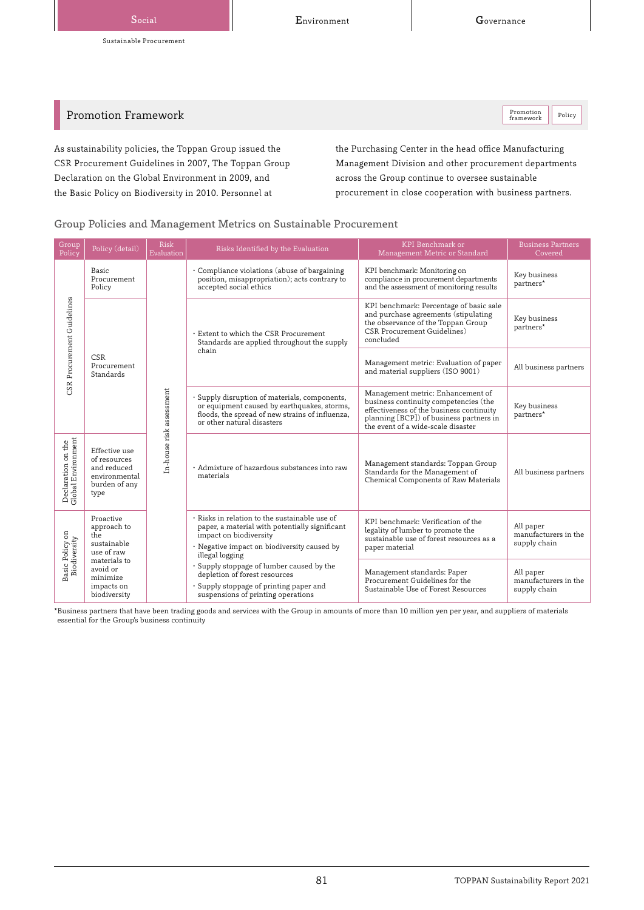Promotion Framework

Promotion Policy

As sustainability policies, the Toppan Group issued the CSR Procurement Guidelines in 2007, The Toppan Group Declaration on the Global Environment in 2009, and the Basic Policy on Biodiversity in 2010. Personnel at

the Purchasing Center in the head office Manufacturing Management Division and other procurement departments across the Group continue to oversee sustainable procurement in close cooperation with business partners.

## Group Policies and Management Metrics on Sustainable Procurement

| Group<br>Policy                          | Policy (detail)                                                                        | <b>Risk</b><br>Evaluation | Risks Identified by the Evaluation                                                                                                                                                          | KPI Benchmark or<br>Management Metric or Standard                                                                                                                                                       | <b>Business Partners</b><br>Covered               |
|------------------------------------------|----------------------------------------------------------------------------------------|---------------------------|---------------------------------------------------------------------------------------------------------------------------------------------------------------------------------------------|---------------------------------------------------------------------------------------------------------------------------------------------------------------------------------------------------------|---------------------------------------------------|
| CSR Procurement Guidelines               | Basic<br>Procurement<br>Policy                                                         | In-house risk assessment  | · Compliance violations (abuse of bargaining<br>position, misappropriation); acts contrary to<br>accepted social ethics                                                                     | KPI benchmark: Monitoring on<br>compliance in procurement departments<br>and the assessment of monitoring results                                                                                       | Key business<br>partners*                         |
|                                          |                                                                                        |                           | . Extent to which the CSR Procurement<br>Standards are applied throughout the supply<br>chain                                                                                               | KPI benchmark: Percentage of basic sale<br>and purchase agreements (stipulating<br>the observance of the Toppan Group<br>CSR Procurement Guidelines)<br>concluded                                       | Key business<br>partners*                         |
|                                          | <b>CSR</b><br>Procurement<br>Standards                                                 |                           |                                                                                                                                                                                             | Management metric: Evaluation of paper<br>and material suppliers (ISO 9001)                                                                                                                             | All business partners                             |
|                                          |                                                                                        |                           | · Supply disruption of materials, components,<br>or equipment caused by earthquakes, storms,<br>floods, the spread of new strains of influenza,<br>or other natural disasters               | Management metric: Enhancement of<br>business continuity competencies (the<br>effectiveness of the business continuity<br>planning [BCP]) of business partners in<br>the event of a wide-scale disaster | Key business<br>partners*                         |
| Declaration on the<br>Global Environment | Effective use<br>of resources<br>and reduced<br>environmental<br>burden of any<br>type |                           | · Admixture of hazardous substances into raw<br>materials                                                                                                                                   | Management standards: Toppan Group<br>Standards for the Management of<br>Chemical Components of Raw Materials                                                                                           | All business partners                             |
| Basic Policy on<br>Biodiversity          | Proactive<br>approach to<br>the<br>sustainable<br>use of raw                           |                           | · Risks in relation to the sustainable use of<br>paper, a material with potentially significant<br>impact on biodiversity<br>· Negative impact on biodiversity caused by<br>illegal logging | KPI benchmark: Verification of the<br>legality of lumber to promote the<br>sustainable use of forest resources as a<br>paper material                                                                   | All paper<br>manufacturers in the<br>supply chain |
|                                          | materials to<br>avoid or<br>minimize<br>impacts on<br>biodiversity                     |                           | · Supply stoppage of lumber caused by the<br>depletion of forest resources<br>· Supply stoppage of printing paper and<br>suspensions of printing operations                                 | Management standards: Paper<br>Procurement Guidelines for the<br>Sustainable Use of Forest Resources                                                                                                    | All paper<br>manufacturers in the<br>supply chain |

\*Business partners that have been trading goods and services with the Group in amounts of more than 10 million yen per year, and suppliers of materials essential for the Group's business continuity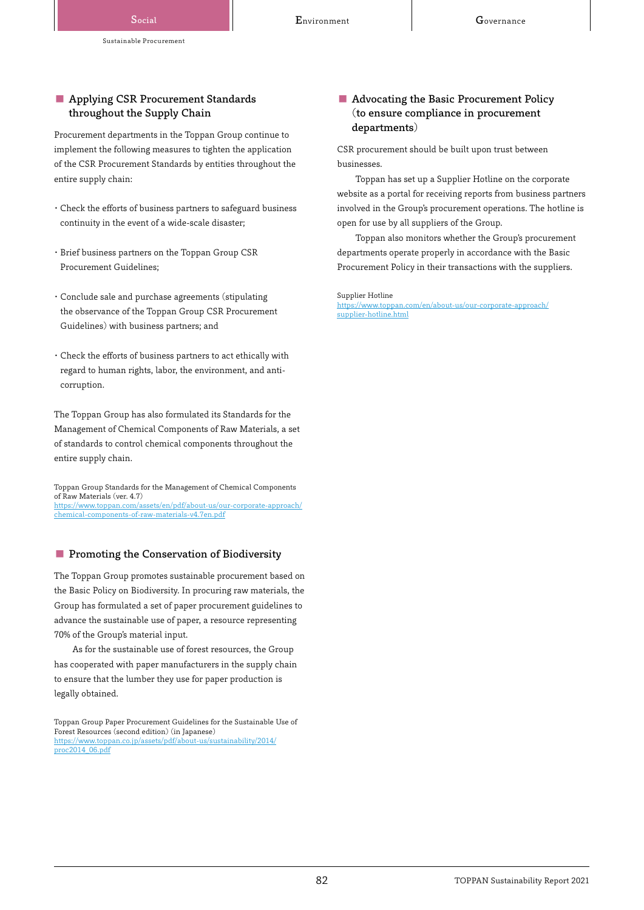Social **Covernance Covernance Environment** Covernance

## ■ Applying CSR Procurement Standards throughout the Supply Chain

Procurement departments in the Toppan Group continue to implement the following measures to tighten the application of the CSR Procurement Standards by entities throughout the entire supply chain:

- ・Check the efforts of business partners to safeguard business continuity in the event of a wide-scale disaster;
- ・Brief business partners on the Toppan Group CSR Procurement Guidelines;
- ・ Conclude sale and purchase agreements (stipulating the observance of the Toppan Group CSR Procurement Guidelines) with business partners; and
- ・ Check the efforts of business partners to act ethically with regard to human rights, labor, the environment, and anticorruption.

The Toppan Group has also formulated its Standards for the Management of Chemical Components of Raw Materials, a set of standards to control chemical components throughout the entire supply chain.

Toppan Group Standards for the Management of Chemical Components of Raw Materials (ver. 4.7) [https://www.toppan.com/assets/en/pdf/about-us/our-corporate-approach/](https://www.toppan.com/assets/en/pdf/about-us/our-corporate-approach/chemical-components-of-raw-materials-v4.7en.pdf) chemical-components-of-raw-materials-v4.7en.pdf

## ■ Promoting the Conservation of Biodiversity

The Toppan Group promotes sustainable procurement based on the Basic Policy on Biodiversity. In procuring raw materials, the Group has formulated a set of paper procurement guidelines to advance the sustainable use of paper, a resource representing 70% of the Group's material input.

As for the sustainable use of forest resources, the Group has cooperated with paper manufacturers in the supply chain to ensure that the lumber they use for paper production is legally obtained.

## ■ Advocating the Basic Procurement Policy (to ensure compliance in procurement departments)

CSR procurement should be built upon trust between businesses.

Toppan has set up a Supplier Hotline on the corporate website as a portal for receiving reports from business partners involved in the Group's procurement operations. The hotline is open for use by all suppliers of the Group.

Toppan also monitors whether the Group's procurement departments operate properly in accordance with the Basic Procurement Policy in their transactions with the suppliers.

Supplier Hotline

[https://www.toppan.com/en/about-us/our-corporate-approach/](https://www.toppan.com/en/about-us/our-corporate-approach/supplier-hotline.html) supplier-hotline.html

Toppan Group Paper Procurement Guidelines for the Sustainable Use of Forest Resources (second edition) (in Japanese) [https://www.toppan.co.jp/assets/pdf/about-us/sustainability/2014/](https://www.toppan.co.jp/assets/pdf/about-us/sustainability/2014/proc2014_06.pdf) proc2014\_06.pdf